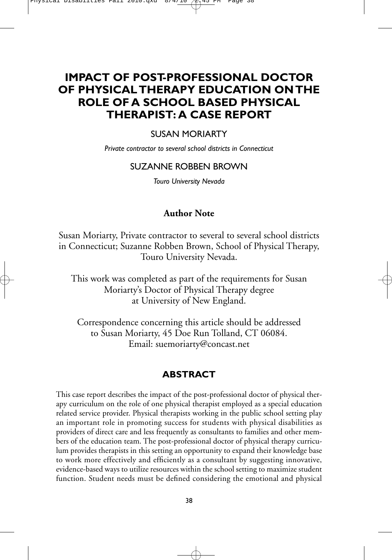# **IMPACT OF POST-PROFESSIONAL DOCTOR OF PHYSICAL THERAPY EDUCATION ON THE ROLE OF A SCHOOL BASED PHYSICAL THERAPIST: A CASE REPORT**

### SUSAN MORIARTY

*Private contractor to several school districts in Connecticut*

### SUZANNE ROBBEN BROWN

*Touro University Nevada*

### **Author Note**

Susan Moriarty, Private contractor to several to several school districts in Connecticut; Suzanne Robben Brown, School of Physical Therapy, Touro University Nevada.

This work was completed as part of the requirements for Susan Moriarty's Doctor of Physical Therapy degree at University of New England.

Correspondence concerning this article should be addressed to Susan Moriarty, 45 Doe Run Tolland, CT 06084. Email: suemoriarty@concast.net

### **ABSTRACT**

This case report describes the impact of the post-professional doctor of physical therapy curriculum on the role of one physical therapist employed as a special education related service provider. Physical therapists working in the public school setting play an important role in promoting success for students with physical disabilities as providers of direct care and less frequently as consultants to families and other members of the education team. The post-professional doctor of physical therapy curriculum provides therapists in this setting an opportunity to expand their knowledge base to work more effectively and efficiently as a consultant by suggesting innovative, evidence-based ways to utilize resources within the school setting to maximize student function. Student needs must be defined considering the emotional and physical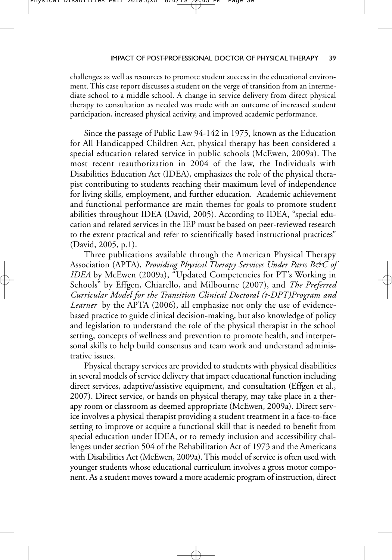challenges as well as resources to promote student success in the educational environment. This case report discusses a student on the verge of transition from an intermediate school to a middle school. A change in service delivery from direct physical therapy to consultation as needed was made with an outcome of increased student participation, increased physical activity, and improved academic performance.

Since the passage of Public Law 94-142 in 1975, known as the Education for All Handicapped Children Act, physical therapy has been considered a special education related service in public schools (McEwen, 2009a). The most recent reauthorization in 2004 of the law, the Individuals with Disabilities Education Act (IDEA), emphasizes the role of the physical therapist contributing to students reaching their maximum level of independence for living skills, employment, and further education. Academic achievement and functional performance are main themes for goals to promote student abilities throughout IDEA (David, 2005). According to IDEA, "special education and related services in the IEP must be based on peer-reviewed research to the extent practical and refer to scientifically based instructional practices" (David, 2005, p.1).

Three publications available through the American Physical Therapy Association (APTA), *Providing Physical Therapy Services Under Parts B&C of IDEA* by McEwen (2009a), "Updated Competencies for PT's Working in Schools" by Effgen, Chiarello, and Milbourne (2007), and *The Preferred Curricular Model for the Transition Clinical Doctoral (t-DPT)Program and Learner* by the APTA (2006), all emphasize not only the use of evidencebased practice to guide clinical decision-making, but also knowledge of policy and legislation to understand the role of the physical therapist in the school setting, concepts of wellness and prevention to promote health, and interpersonal skills to help build consensus and team work and understand administrative issues.

Physical therapy services are provided to students with physical disabilities in several models of service delivery that impact educational function including direct services, adaptive/assistive equipment, and consultation (Effgen et al., 2007). Direct service, or hands on physical therapy, may take place in a therapy room or classroom as deemed appropriate (McEwen, 2009a). Direct service involves a physical therapist providing a student treatment in a face-to-face setting to improve or acquire a functional skill that is needed to benefit from special education under IDEA, or to remedy inclusion and accessibility challenges under section 504 of the Rehabilitation Act of 1973 and the Americans with Disabilities Act (McEwen, 2009a). This model of service is often used with younger students whose educational curriculum involves a gross motor component. As a student moves toward a more academic program of instruction, direct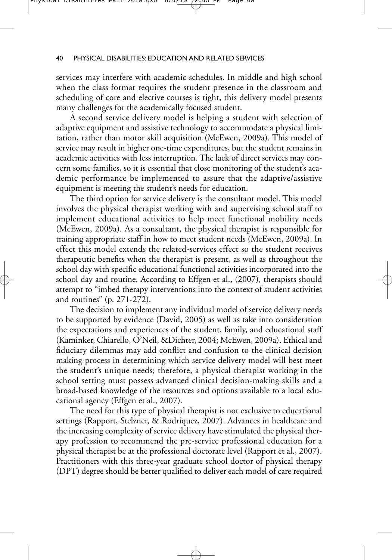services may interfere with academic schedules. In middle and high school when the class format requires the student presence in the classroom and scheduling of core and elective courses is tight, this delivery model presents many challenges for the academically focused student.

A second service delivery model is helping a student with selection of adaptive equipment and assistive technology to accommodate a physical limitation, rather than motor skill acquisition (McEwen, 2009a). This model of service may result in higher one-time expenditures, but the student remains in academic activities with less interruption. The lack of direct services may concern some families, so it is essential that close monitoring of the student's academic performance be implemented to assure that the adaptive/assistive equipment is meeting the student's needs for education.

The third option for service delivery is the consultant model. This model involves the physical therapist working with and supervising school staff to implement educational activities to help meet functional mobility needs (McEwen, 2009a). As a consultant, the physical therapist is responsible for training appropriate staff in how to meet student needs (McEwen, 2009a). In effect this model extends the related-services effect so the student receives therapeutic benefits when the therapist is present, as well as throughout the school day with specific educational functional activities incorporated into the school day and routine. According to Effgen et al., (2007), therapists should attempt to "imbed therapy interventions into the context of student activities and routines" (p. 271-272).

The decision to implement any individual model of service delivery needs to be supported by evidence (David, 2005) as well as take into consideration the expectations and experiences of the student, family, and educational staff (Kaminker, Chiarello, O'Neil, &Dichter, 2004; McEwen, 2009a). Ethical and fiduciary dilemmas may add conflict and confusion to the clinical decision making process in determining which service delivery model will best meet the student's unique needs; therefore, a physical therapist working in the school setting must possess advanced clinical decision-making skills and a broad-based knowledge of the resources and options available to a local educational agency (Effgen et al., 2007).

The need for this type of physical therapist is not exclusive to educational settings (Rapport, Stelzner, & Rodriquez, 2007). Advances in healthcare and the increasing complexity of service delivery have stimulated the physical therapy profession to recommend the pre-service professional education for a physical therapist be at the professional doctorate level (Rapport et al., 2007). Practitioners with this three-year graduate school doctor of physical therapy (DPT) degree should be better qualified to deliver each model of care required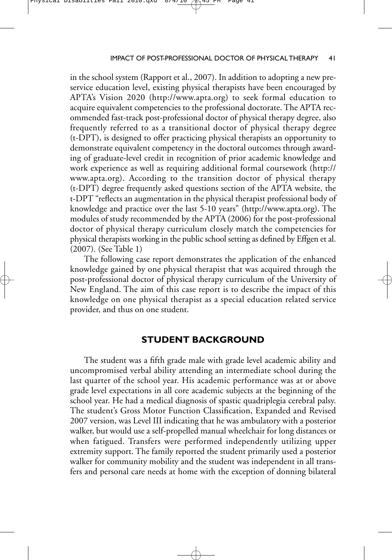in the school system (Rapport et al., 2007). In addition to adopting a new preservice education level, existing physical therapists have been encouraged by APTA's Vision 2020 (http://www.apta.org) to seek formal education to acquire equivalent competencies to the professional doctorate. The APTA recommended fast-track post-professional doctor of physical therapy degree, also frequently referred to as a transitional doctor of physical therapy degree (t-DPT), is designed to offer practicing physical therapists an opportunity to demonstrate equivalent competency in the doctoral outcomes through awarding of graduate-level credit in recognition of prior academic knowledge and work experience as well as requiring additional formal coursework (http:// www.apta.org). According to the transition doctor of physical therapy (t-DPT) degree frequently asked questions section of the APTA website, the t-DPT "reflects an augmentation in the physical therapist professional body of knowledge and practice over the last 5-10 years" (http://www.apta.org). The modules of study recommended by the APTA (2006) for the post-professional doctor of physical therapy curriculum closely match the competencies for physical therapists working in the public school setting as defined by Effgen et al. (2007). (See Table 1)

The following case report demonstrates the application of the enhanced knowledge gained by one physical therapist that was acquired through the post-professional doctor of physical therapy curriculum of the University of New England. The aim of this case report is to describe the impact of this knowledge on one physical therapist as a special education related service provider, and thus on one student.

### **STUDENT BACKGROUND**

The student was a fifth grade male with grade level academic ability and uncompromised verbal ability attending an intermediate school during the last quarter of the school year. His academic performance was at or above grade level expectations in all core academic subjects at the beginning of the school year. He had a medical diagnosis of spastic quadriplegia cerebral palsy. The student's Gross Motor Function Classification, Expanded and Revised 2007 version, was Level III indicating that he was ambulatory with a posterior walker, but would use a self-propelled manual wheelchair for long distances or when fatigued. Transfers were performed independently utilizing upper extremity support. The family reported the student primarily used a posterior walker for community mobility and the student was independent in all transfers and personal care needs at home with the exception of donning bilateral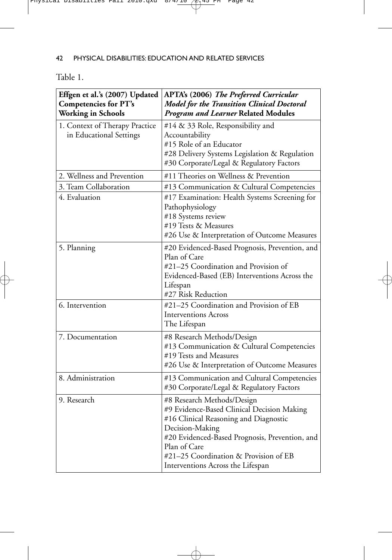Table 1.

| Effgen et al.'s (2007) Updated<br><b>Competencies for PT's</b><br><b>Working in Schools</b> | APTA's (2006) The Preferred Curricular<br><b>Model for the Transition Clinical Doctoral</b><br><b>Program and Learner Related Modules</b>                                                                                                                                            |  |
|---------------------------------------------------------------------------------------------|--------------------------------------------------------------------------------------------------------------------------------------------------------------------------------------------------------------------------------------------------------------------------------------|--|
| 1. Context of Therapy Practice<br>in Educational Settings                                   | #14 & 33 Role, Responsibility and<br>Accountability<br>#15 Role of an Educator<br>#28 Delivery Systems Legislation & Regulation<br>#30 Corporate/Legal & Regulatory Factors                                                                                                          |  |
| 2. Wellness and Prevention                                                                  | #11 Theories on Wellness & Prevention                                                                                                                                                                                                                                                |  |
| 3. Team Collaboration                                                                       | #13 Communication & Cultural Competencies                                                                                                                                                                                                                                            |  |
| 4. Evaluation                                                                               | #17 Examination: Health Systems Screening for<br>Pathophysiology<br>#18 Systems review<br>#19 Tests & Measures<br>#26 Use & Interpretation of Outcome Measures                                                                                                                       |  |
| 5. Planning                                                                                 | #20 Evidenced-Based Prognosis, Prevention, and<br>Plan of Care<br>#21-25 Coordination and Provision of<br>Evidenced-Based (EB) Interventions Across the<br>Lifespan<br>#27 Risk Reduction                                                                                            |  |
| 6. Intervention                                                                             | #21-25 Coordination and Provision of EB<br><b>Interventions Across</b><br>The Lifespan                                                                                                                                                                                               |  |
| 7. Documentation                                                                            | #8 Research Methods/Design<br>#13 Communication & Cultural Competencies<br>#19 Tests and Measures<br>#26 Use & Interpretation of Outcome Measures                                                                                                                                    |  |
| 8. Administration                                                                           | #13 Communication and Cultural Competencies<br>#30 Corporate/Legal & Regulatory Factors                                                                                                                                                                                              |  |
| 9. Research                                                                                 | #8 Research Methods/Design<br>#9 Evidence-Based Clinical Decision Making<br>#16 Clinical Reasoning and Diagnostic<br>Decision-Making<br>#20 Evidenced-Based Prognosis, Prevention, and<br>Plan of Care<br>#21-25 Coordination & Provision of EB<br>Interventions Across the Lifespan |  |

 $\oplus$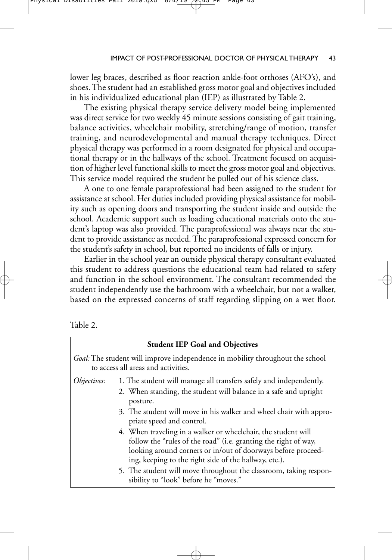lower leg braces, described as floor reaction ankle-foot orthoses (AFO's), and shoes. The student had an established gross motor goal and objectives included in his individualized educational plan (IEP) as illustrated by Table 2.

The existing physical therapy service delivery model being implemented was direct service for two weekly 45 minute sessions consisting of gait training, balance activities, wheelchair mobility, stretching/range of motion, transfer training, and neurodevelopmental and manual therapy techniques. Direct physical therapy was performed in a room designated for physical and occupational therapy or in the hallways of the school. Treatment focused on acquisition of higher level functional skills to meet the gross motor goal and objectives. This service model required the student be pulled out of his science class.

A one to one female paraprofessional had been assigned to the student for assistance at school. Her duties included providing physical assistance for mobility such as opening doors and transporting the student inside and outside the school. Academic support such as loading educational materials onto the student's laptop was also provided. The paraprofessional was always near the student to provide assistance as needed. The paraprofessional expressed concern for the student's safety in school, but reported no incidents of falls or injury.

Earlier in the school year an outside physical therapy consultant evaluated this student to address questions the educational team had related to safety and function in the school environment. The consultant recommended the student independently use the bathroom with a wheelchair, but not a walker, based on the expressed concerns of staff regarding slipping on a wet floor.



| <b>Student IEP Goal and Objectives</b> |                                                                                                                                                                                                                                                           |  |  |  |
|----------------------------------------|-----------------------------------------------------------------------------------------------------------------------------------------------------------------------------------------------------------------------------------------------------------|--|--|--|
|                                        | Goal: The student will improve independence in mobility throughout the school<br>to access all areas and activities.                                                                                                                                      |  |  |  |
| Objectives:                            | 1. The student will manage all transfers safely and independently.                                                                                                                                                                                        |  |  |  |
|                                        | 2. When standing, the student will balance in a safe and upright<br>posture.                                                                                                                                                                              |  |  |  |
|                                        | 3. The student will move in his walker and wheel chair with appro-<br>priate speed and control.                                                                                                                                                           |  |  |  |
|                                        | 4. When traveling in a walker or wheelchair, the student will<br>follow the "rules of the road" (i.e. granting the right of way,<br>looking around corners or in/out of doorways before proceed-<br>ing, keeping to the right side of the hallway, etc.). |  |  |  |
|                                        | 5. The student will move throughout the classroom, taking respon-<br>sibility to "look" before he "moves."                                                                                                                                                |  |  |  |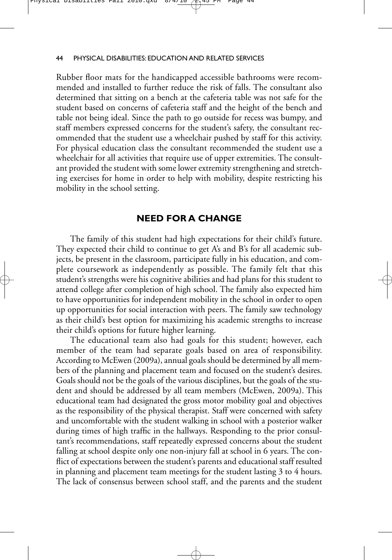Rubber floor mats for the handicapped accessible bathrooms were recommended and installed to further reduce the risk of falls. The consultant also determined that sitting on a bench at the cafeteria table was not safe for the student based on concerns of cafeteria staff and the height of the bench and table not being ideal. Since the path to go outside for recess was bumpy, and staff members expressed concerns for the student's safety, the consultant recommended that the student use a wheelchair pushed by staff for this activity. For physical education class the consultant recommended the student use a wheelchair for all activities that require use of upper extremities. The consultant provided the student with some lower extremity strengthening and stretching exercises for home in order to help with mobility, despite restricting his mobility in the school setting.

### **NEED FOR A CHANGE**

The family of this student had high expectations for their child's future. They expected their child to continue to get A's and B's for all academic subjects, be present in the classroom, participate fully in his education, and complete coursework as independently as possible. The family felt that this student's strengths were his cognitive abilities and had plans for this student to attend college after completion of high school. The family also expected him to have opportunities for independent mobility in the school in order to open up opportunities for social interaction with peers. The family saw technology as their child's best option for maximizing his academic strengths to increase their child's options for future higher learning.

The educational team also had goals for this student; however, each member of the team had separate goals based on area of responsibility. According to McEwen (2009a), annual goals should be determined by all members of the planning and placement team and focused on the student's desires. Goals should not be the goals of the various disciplines, but the goals of the student and should be addressed by all team members (McEwen, 2009a). This educational team had designated the gross motor mobility goal and objectives as the responsibility of the physical therapist. Staff were concerned with safety and uncomfortable with the student walking in school with a posterior walker during times of high traffic in the hallways. Responding to the prior consultant's recommendations, staff repeatedly expressed concerns about the student falling at school despite only one non-injury fall at school in 6 years. The conflict of expectations between the student's parents and educational staff resulted in planning and placement team meetings for the student lasting 3 to 4 hours. The lack of consensus between school staff, and the parents and the student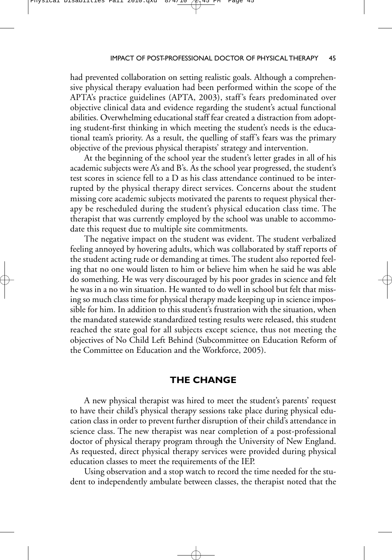had prevented collaboration on setting realistic goals. Although a comprehensive physical therapy evaluation had been performed within the scope of the APTA's practice guidelines (APTA, 2003), staff's fears predominated over objective clinical data and evidence regarding the student's actual functional abilities. Overwhelming educational staff fear created a distraction from adopting student-first thinking in which meeting the student's needs is the educational team's priority. As a result, the quelling of staff's fears was the primary objective of the previous physical therapists' strategy and intervention.

At the beginning of the school year the student's letter grades in all of his academic subjects were A's and B's. As the school year progressed, the student's test scores in science fell to a D as his class attendance continued to be interrupted by the physical therapy direct services. Concerns about the student missing core academic subjects motivated the parents to request physical therapy be rescheduled during the student's physical education class time. The therapist that was currently employed by the school was unable to accommodate this request due to multiple site commitments.

The negative impact on the student was evident. The student verbalized feeling annoyed by hovering adults, which was collaborated by staff reports of the student acting rude or demanding at times. The student also reported feeling that no one would listen to him or believe him when he said he was able do something. He was very discouraged by his poor grades in science and felt he was in a no win situation. He wanted to do well in school but felt that missing so much class time for physical therapy made keeping up in science impossible for him. In addition to this student's frustration with the situation, when the mandated statewide standardized testing results were released, this student reached the state goal for all subjects except science, thus not meeting the objectives of No Child Left Behind (Subcommittee on Education Reform of the Committee on Education and the Workforce, 2005).

### **THE CHANGE**

A new physical therapist was hired to meet the student's parents' request to have their child's physical therapy sessions take place during physical education class in order to prevent further disruption of their child's attendance in science class. The new therapist was near completion of a post-professional doctor of physical therapy program through the University of New England. As requested, direct physical therapy services were provided during physical education classes to meet the requirements of the IEP.

Using observation and a stop watch to record the time needed for the student to independently ambulate between classes, the therapist noted that the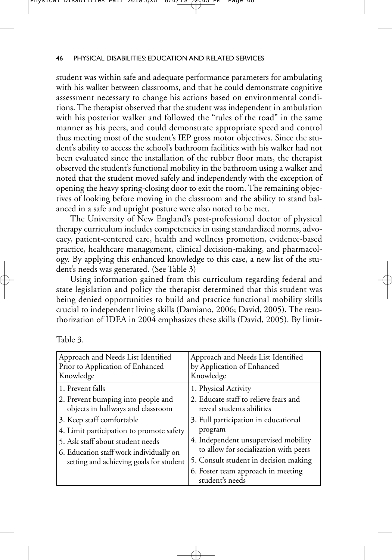student was within safe and adequate performance parameters for ambulating with his walker between classrooms, and that he could demonstrate cognitive assessment necessary to change his actions based on environmental conditions. The therapist observed that the student was independent in ambulation with his posterior walker and followed the "rules of the road" in the same manner as his peers, and could demonstrate appropriate speed and control thus meeting most of the student's IEP gross motor objectives. Since the student's ability to access the school's bathroom facilities with his walker had not been evaluated since the installation of the rubber floor mats, the therapist observed the student's functional mobility in the bathroom using a walker and noted that the student moved safely and independently with the exception of opening the heavy spring-closing door to exit the room. The remaining objectives of looking before moving in the classroom and the ability to stand balanced in a safe and upright posture were also noted to be met.

The University of New England's post-professional doctor of physical therapy curriculum includes competencies in using standardized norms, advocacy, patient-centered care, health and wellness promotion, evidence-based practice, healthcare management, clinical decision-making, and pharmacology. By applying this enhanced knowledge to this case, a new list of the student's needs was generated. (See Table 3)

Using information gained from this curriculum regarding federal and state legislation and policy the therapist determined that this student was being denied opportunities to build and practice functional mobility skills crucial to independent living skills (Damiano, 2006; David, 2005). The reauthorization of IDEA in 2004 emphasizes these skills (David, 2005). By limit-

| Table 3 |  |
|---------|--|
|         |  |

| Approach and Needs List Identified<br>Prior to Application of Enhanced<br>Knowledge | Approach and Needs List Identified<br>by Application of Enhanced<br>Knowledge |
|-------------------------------------------------------------------------------------|-------------------------------------------------------------------------------|
| 1. Prevent falls                                                                    | 1. Physical Activity                                                          |
| 2. Prevent bumping into people and<br>objects in hallways and classroom             | 2. Educate staff to relieve fears and<br>reveal students abilities            |
| 3. Keep staff comfortable                                                           | 3. Full participation in educational                                          |
| 4. Limit participation to promote safety                                            | program                                                                       |
| 5. Ask staff about student needs                                                    | 4. Independent unsupervised mobility                                          |
| 6. Education staff work individually on                                             | to allow for socialization with peers                                         |
| setting and achieving goals for student                                             | 5. Consult student in decision making                                         |
|                                                                                     | 6. Foster team approach in meeting                                            |
|                                                                                     | student's needs                                                               |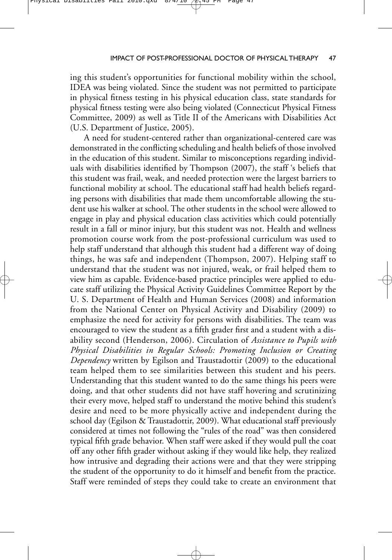ing this student's opportunities for functional mobility within the school, IDEA was being violated. Since the student was not permitted to participate in physical fitness testing in his physical education class, state standards for physical fitness testing were also being violated (Connecticut Physical Fitness Committee, 2009) as well as Title II of the Americans with Disabilities Act (U.S. Department of Justice, 2005).

A need for student-centered rather than organizational-centered care was demonstrated in the conflicting scheduling and health beliefs of those involved in the education of this student. Similar to misconceptions regarding individuals with disabilities identified by Thompson (2007), the staff 's beliefs that this student was frail, weak, and needed protection were the largest barriers to functional mobility at school. The educational staff had health beliefs regarding persons with disabilities that made them uncomfortable allowing the student use his walker at school. The other students in the school were allowed to engage in play and physical education class activities which could potentially result in a fall or minor injury, but this student was not. Health and wellness promotion course work from the post-professional curriculum was used to help staff understand that although this student had a different way of doing things, he was safe and independent (Thompson, 2007). Helping staff to understand that the student was not injured, weak, or frail helped them to view him as capable. Evidence-based practice principles were applied to educate staff utilizing the Physical Activity Guidelines Committee Report by the U. S. Department of Health and Human Services (2008) and information from the National Center on Physical Activity and Disability (2009) to emphasize the need for activity for persons with disabilities. The team was encouraged to view the student as a fifth grader first and a student with a disability second (Henderson, 2006). Circulation of *Assistance to Pupils with Physical Disabilities in Regular Schools: Promoting Inclusion or Creating Dependency* written by Egilson and Traustadottir (2009) to the educational team helped them to see similarities between this student and his peers. Understanding that this student wanted to do the same things his peers were doing, and that other students did not have staff hovering and scrutinizing their every move, helped staff to understand the motive behind this student's desire and need to be more physically active and independent during the school day (Egilson & Traustadottir, 2009). What educational staff previously considered at times not following the "rules of the road" was then considered typical fifth grade behavior. When staff were asked if they would pull the coat off any other fifth grader without asking if they would like help, they realized how intrusive and degrading their actions were and that they were stripping the student of the opportunity to do it himself and benefit from the practice. Staff were reminded of steps they could take to create an environment that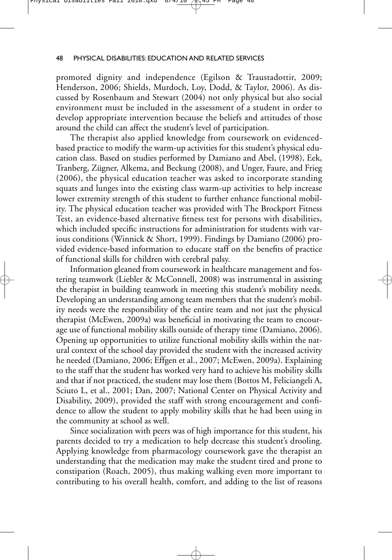promoted dignity and independence (Egilson & Traustadottir, 2009; Henderson, 2006; Shields, Murdoch, Loy, Dodd, & Taylor, 2006). As discussed by Rosenbaum and Stewart (2004) not only physical but also social environment must be included in the assessment of a student in order to develop appropriate intervention because the beliefs and attitudes of those around the child can affect the student's level of participation.

The therapist also applied knowledge from coursework on evidencedbased practice to modify the warm-up activities for this student's physical education class. Based on studies performed by Damiano and Abel, (1998), Eek, Tranberg, Zügner, Alkema, and Beckung (2008), and Unger, Faure, and Frieg (2006), the physical education teacher was asked to incorporate standing squats and lunges into the existing class warm-up activities to help increase lower extremity strength of this student to further enhance functional mobility. The physical education teacher was provided with The Brockport Fitness Test, an evidence-based alternative fitness test for persons with disabilities, which included specific instructions for administration for students with various conditions (Winnick & Short, 1999). Findings by Damiano (2006) provided evidence-based information to educate staff on the benefits of practice of functional skills for children with cerebral palsy.

Information gleaned from coursework in healthcare management and fostering teamwork (Liebler & McConnell, 2008) was instrumental in assisting the therapist in building teamwork in meeting this student's mobility needs. Developing an understanding among team members that the student's mobility needs were the responsibility of the entire team and not just the physical therapist (McEwen, 2009a) was beneficial in motivating the team to encourage use of functional mobility skills outside of therapy time (Damiano, 2006). Opening up opportunities to utilize functional mobility skills within the natural context of the school day provided the student with the increased activity he needed (Damiano, 2006; Effgen et al., 2007; McEwen, 2009a). Explaining to the staff that the student has worked very hard to achieve his mobility skills and that if not practiced, the student may lose them (Bottos M, Feliciangeli A, Sciuto L, et al., 2001; Dan, 2007; National Center on Physical Activity and Disability, 2009), provided the staff with strong encouragement and confidence to allow the student to apply mobility skills that he had been using in the community at school as well.

Since socialization with peers was of high importance for this student, his parents decided to try a medication to help decrease this student's drooling. Applying knowledge from pharmacology coursework gave the therapist an understanding that the medication may make the student tired and prone to constipation (Roach, 2005), thus making walking even more important to contributing to his overall health, comfort, and adding to the list of reasons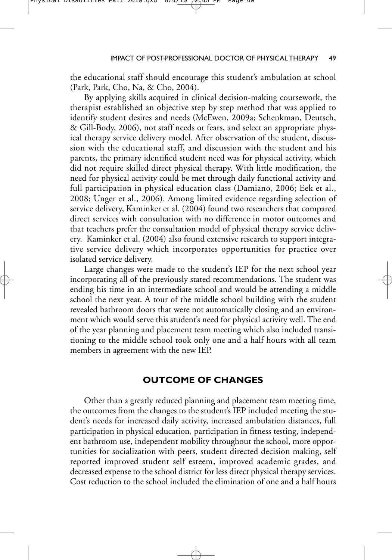the educational staff should encourage this student's ambulation at school (Park, Park, Cho, Na, & Cho, 2004).

By applying skills acquired in clinical decision-making coursework, the therapist established an objective step by step method that was applied to identify student desires and needs (McEwen, 2009a; Schenkman, Deutsch, & Gill-Body, 2006), not staff needs or fears, and select an appropriate physical therapy service delivery model. After observation of the student, discussion with the educational staff, and discussion with the student and his parents, the primary identified student need was for physical activity, which did not require skilled direct physical therapy. With little modification, the need for physical activity could be met through daily functional activity and full participation in physical education class (Damiano, 2006; Eek et al., 2008; Unger et al., 2006). Among limited evidence regarding selection of service delivery, Kaminker et al. (2004) found two researchers that compared direct services with consultation with no difference in motor outcomes and that teachers prefer the consultation model of physical therapy service delivery. Kaminker et al. (2004) also found extensive research to support integrative service delivery which incorporates opportunities for practice over isolated service delivery.

Large changes were made to the student's IEP for the next school year incorporating all of the previously stated recommendations. The student was ending his time in an intermediate school and would be attending a middle school the next year. A tour of the middle school building with the student revealed bathroom doors that were not automatically closing and an environment which would serve this student's need for physical activity well. The end of the year planning and placement team meeting which also included transitioning to the middle school took only one and a half hours with all team members in agreement with the new IEP.

## **OUTCOME OF CHANGES**

Other than a greatly reduced planning and placement team meeting time, the outcomes from the changes to the student's IEP included meeting the student's needs for increased daily activity, increased ambulation distances, full participation in physical education, participation in fitness testing, independent bathroom use, independent mobility throughout the school, more opportunities for socialization with peers, student directed decision making, self reported improved student self esteem, improved academic grades, and decreased expense to the school district for less direct physical therapy services. Cost reduction to the school included the elimination of one and a half hours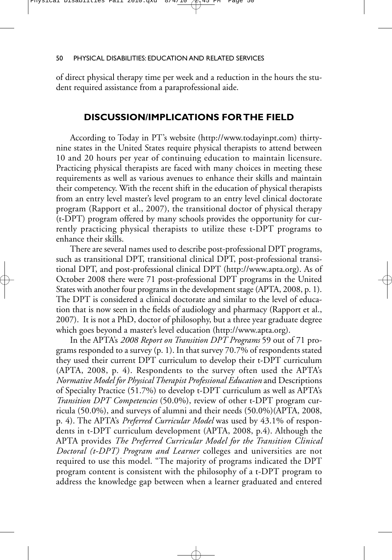of direct physical therapy time per week and a reduction in the hours the student required assistance from a paraprofessional aide.

### **DISCUSSION/IMPLICATIONS FOR THE FIELD**

According to Today in PT's website (http://www.todayinpt.com) thirtynine states in the United States require physical therapists to attend between 10 and 20 hours per year of continuing education to maintain licensure. Practicing physical therapists are faced with many choices in meeting these requirements as well as various avenues to enhance their skills and maintain their competency. With the recent shift in the education of physical therapists from an entry level master's level program to an entry level clinical doctorate program (Rapport et al., 2007), the transitional doctor of physical therapy (t-DPT) program offered by many schools provides the opportunity for currently practicing physical therapists to utilize these t-DPT programs to enhance their skills.

There are several names used to describe post-professional DPT programs, such as transitional DPT, transitional clinical DPT, post-professional transitional DPT, and post-professional clinical DPT (http://www.apta.org). As of October 2008 there were 71 post-professional DPT programs in the United States with another four programs in the development stage (APTA, 2008, p. 1). The DPT is considered a clinical doctorate and similar to the level of education that is now seen in the fields of audiology and pharmacy (Rapport et al., 2007). It is not a PhD, doctor of philosophy, but a three year graduate degree which goes beyond a master's level education (http://www.apta.org).

In the APTA's *2008 Report on Transition DPT Programs* 59 out of 71 programs responded to a survey (p. 1). In that survey 70.7% of respondents stated they used their current DPT curriculum to develop their t-DPT curriculum (APTA, 2008, p. 4). Respondents to the survey often used the APTA's *Normative Model for Physical Therapist Professional Education* and Descriptions of Specialty Practice (51.7%) to develop t-DPT curriculum as well as APTA's *Transition DPT Competencies* (50.0%), review of other t-DPT program curricula (50.0%), and surveys of alumni and their needs (50.0%)(APTA, 2008, p. 4). The APTA's *Preferred Curricular Model* was used by 43.1% of respondents in t-DPT curriculum development (APTA, 2008, p.4). Although the APTA provides *The Preferred Curricular Model for the Transition Clinical Doctoral (t-DPT) Program and Learner* colleges and universities are not required to use this model. "The majority of programs indicated the DPT program content is consistent with the philosophy of a t-DPT program to address the knowledge gap between when a learner graduated and entered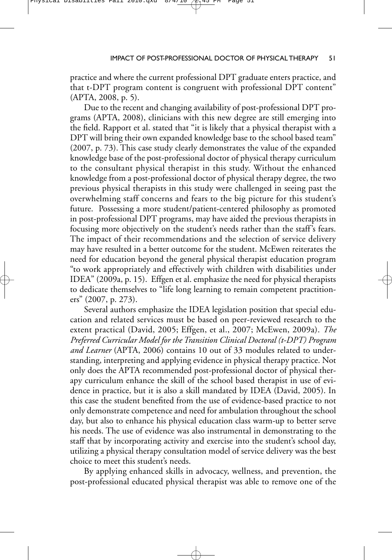practice and where the current professional DPT graduate enters practice, and that t-DPT program content is congruent with professional DPT content" (APTA, 2008, p. 5).

Due to the recent and changing availability of post-professional DPT programs (APTA, 2008), clinicians with this new degree are still emerging into the field. Rapport et al. stated that "it is likely that a physical therapist with a DPT will bring their own expanded knowledge base to the school based team" (2007, p. 73). This case study clearly demonstrates the value of the expanded knowledge base of the post-professional doctor of physical therapy curriculum to the consultant physical therapist in this study. Without the enhanced knowledge from a post-professional doctor of physical therapy degree, the two previous physical therapists in this study were challenged in seeing past the overwhelming staff concerns and fears to the big picture for this student's future. Possessing a more student/patient-centered philosophy as promoted in post-professional DPT programs, may have aided the previous therapists in focusing more objectively on the student's needs rather than the staff's fears. The impact of their recommendations and the selection of service delivery may have resulted in a better outcome for the student. McEwen reiterates the need for education beyond the general physical therapist education program "to work appropriately and effectively with children with disabilities under IDEA" (2009a, p. 15). Effgen et al. emphasize the need for physical therapists to dedicate themselves to "life long learning to remain competent practitioners" (2007, p. 273).

Several authors emphasize the IDEA legislation position that special education and related services must be based on peer-reviewed research to the extent practical (David, 2005; Effgen, et al., 2007; McEwen, 2009a). *The Preferred Curricular Model for the Transition Clinical Doctoral (t-DPT) Program and Learner* (APTA, 2006) contains 10 out of 33 modules related to understanding, interpreting and applying evidence in physical therapy practice. Not only does the APTA recommended post-professional doctor of physical therapy curriculum enhance the skill of the school based therapist in use of evidence in practice, but it is also a skill mandated by IDEA (David, 2005). In this case the student benefited from the use of evidence-based practice to not only demonstrate competence and need for ambulation throughout the school day, but also to enhance his physical education class warm-up to better serve his needs. The use of evidence was also instrumental in demonstrating to the staff that by incorporating activity and exercise into the student's school day, utilizing a physical therapy consultation model of service delivery was the best choice to meet this student's needs.

By applying enhanced skills in advocacy, wellness, and prevention, the post-professional educated physical therapist was able to remove one of the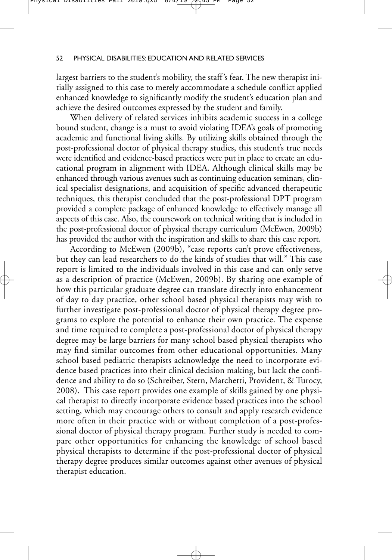largest barriers to the student's mobility, the staff's fear. The new therapist initially assigned to this case to merely accommodate a schedule conflict applied enhanced knowledge to significantly modify the student's education plan and achieve the desired outcomes expressed by the student and family.

When delivery of related services inhibits academic success in a college bound student, change is a must to avoid violating IDEA's goals of promoting academic and functional living skills. By utilizing skills obtained through the post-professional doctor of physical therapy studies, this student's true needs were identified and evidence-based practices were put in place to create an educational program in alignment with IDEA. Although clinical skills may be enhanced through various avenues such as continuing education seminars, clinical specialist designations, and acquisition of specific advanced therapeutic techniques, this therapist concluded that the post-professional DPT program provided a complete package of enhanced knowledge to effectively manage all aspects of this case. Also, the coursework on technical writing that is included in the post-professional doctor of physical therapy curriculum (McEwen, 2009b) has provided the author with the inspiration and skills to share this case report.

According to McEwen (2009b), "case reports can't prove effectiveness, but they can lead researchers to do the kinds of studies that will." This case report is limited to the individuals involved in this case and can only serve as a description of practice (McEwen, 2009b). By sharing one example of how this particular graduate degree can translate directly into enhancement of day to day practice, other school based physical therapists may wish to further investigate post-professional doctor of physical therapy degree programs to explore the potential to enhance their own practice. The expense and time required to complete a post-professional doctor of physical therapy degree may be large barriers for many school based physical therapists who may find similar outcomes from other educational opportunities. Many school based pediatric therapists acknowledge the need to incorporate evidence based practices into their clinical decision making, but lack the confidence and ability to do so (Schreiber, Stern, Marchetti, Provident, & Turocy, 2008). This case report provides one example of skills gained by one physical therapist to directly incorporate evidence based practices into the school setting, which may encourage others to consult and apply research evidence more often in their practice with or without completion of a post-professional doctor of physical therapy program. Further study is needed to compare other opportunities for enhancing the knowledge of school based physical therapists to determine if the post-professional doctor of physical therapy degree produces similar outcomes against other avenues of physical therapist education.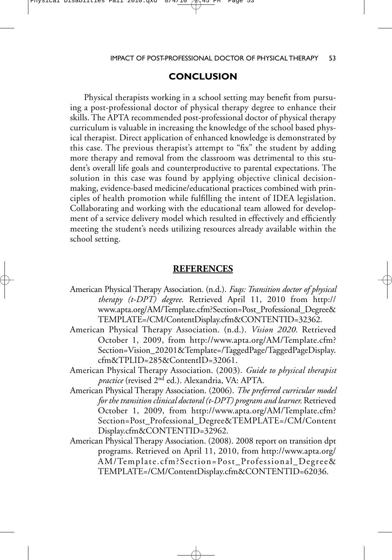#### Physical Disabilties Fall 2010.qxd

### IMPACT OF POST-PROFESSIONAL DOCTOR OF PHYSICAL THERAPY 53

## **CONCLUSION**

Physical therapists working in a school setting may benefit from pursuing a post-professional doctor of physical therapy degree to enhance their skills. The APTA recommended post-professional doctor of physical therapy curriculum is valuable in increasing the knowledge of the school based physical therapist. Direct application of enhanced knowledge is demonstrated by this case. The previous therapist's attempt to "fix" the student by adding more therapy and removal from the classroom was detrimental to this student's overall life goals and counterproductive to parental expectations. The solution in this case was found by applying objective clinical decisionmaking, evidence-based medicine/educational practices combined with principles of health promotion while fulfilling the intent of IDEA legislation. Collaborating and working with the educational team allowed for development of a service delivery model which resulted in effectively and efficiently meeting the student's needs utilizing resources already available within the school setting.

### **REFERENCES**

- American Physical Therapy Association. (n.d.). *Faqs: Transition doctor of physical therapy (t-DPT) degree*. Retrieved April 11, 2010 from http:// www.apta.org/AM/Template.cfm?Section=Post\_Professional\_Degree& TEMPLATE=/CM/ContentDisplay.cfm&CONTENTID=32362.
- American Physical Therapy Association. (n.d.). *Vision 2020.* Retrieved October 1, 2009, from http://www.apta.org/AM/Template.cfm? Section=Vision\_20201&Template=/TaggedPage/TaggedPageDisplay. cfm&TPLID=285&ContentID=32061.
- American Physical Therapy Association. (2003). *Guide to physical therapist practice* (revised 2nd ed.). Alexandria, VA: APTA.
- American Physical Therapy Association. (2006). *The preferred curricular model for the transition clinical doctoral (t-DPT) program and learner.* Retrieved October 1, 2009, from http://www.apta.org/AM/Template.cfm? Section=Post\_Professional\_Degree&TEMPLATE=/CM/Content Display.cfm&CONTENTID=32962.
- American Physical Therapy Association. (2008). 2008 report on transition dpt programs. Retrieved on April 11, 2010, from http://www.apta.org/ AM/Template.cfm?Section=Post\_Professional\_Degree& TEMPLATE=/CM/ContentDisplay.cfm&CONTENTID=62036.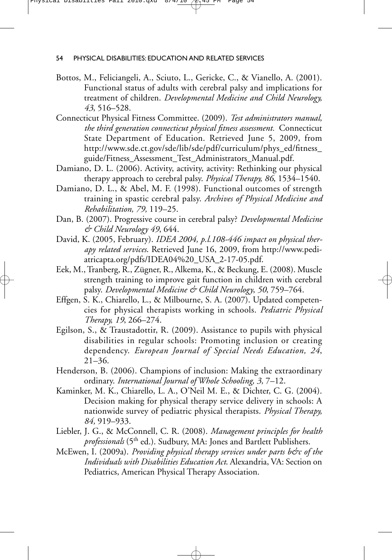- Bottos, M., Feliciangeli, A., Sciuto, L., Gericke, C., & Vianello, A. (2001). Functional status of adults with cerebral palsy and implications for treatment of children. *Developmental Medicine and Child Neurology, 43*, 516–528.
- Connecticut Physical Fitness Committee. (2009). *Test administrators manual, the third generation connecticut physical fitness assessment.* Connecticut State Department of Education. Retrieved June 5, 2009, from http://www.sde.ct.gov/sde/lib/sde/pdf/curriculum/phys\_ed/fitness\_ guide/Fitness\_Assessment\_Test\_Administrators\_Manual.pdf.
- Damiano, D. L. (2006). Activity, activity, activity: Rethinking our physical therapy approach to cerebral palsy. *Physical Therapy, 86*, 1534–1540.
- Damiano, D. L., & Abel, M. F. (1998). Functional outcomes of strength training in spastic cerebral palsy. *Archives of Physical Medicine and Rehabilitation, 79,* 119–25.
- Dan, B. (2007). Progressive course in cerebral palsy? *Developmental Medicine & Child Neurology 49*, 644.
- David, K. (2005, February). *IDEA 2004, p.l.108-446 impact on physical therapy related services*. Retrieved June 16, 2009, from http://www.pediatricapta.org/pdfs/IDEA04%20\_USA\_2-17-05.pdf.
- Eek, M., Tranberg, R., Zügner, R., Alkema, K., & Beckung, E. (2008). Muscle strength training to improve gait function in children with cerebral palsy. *Developmental Medicine & Child Neurology*, *50*, 759–764.
- Effgen, S. K., Chiarello, L., & Milbourne, S. A. (2007). Updated competencies for physical therapists working in schools. *Pediatric Physical Therapy, 19*, 266–274.
- Egilson, S., & Traustadottir, R. (2009). Assistance to pupils with physical disabilities in regular schools: Promoting inclusion or creating dependency. *European Journal of Special Needs Education, 24*, 21–36.
- Henderson, B. (2006). Champions of inclusion: Making the extraordinary ordinary. *International Journal of Whole Schooling, 3,* 7–12.
- Kaminker, M. K., Chiarello, L. A., O'Neil M. E., & Dichter, C. G. (2004). Decision making for physical therapy service delivery in schools: A nationwide survey of pediatric physical therapists. *Physical Therapy, 84,* 919–933.
- Liebler, J. G., & McConnell, C. R. (2008). *Management principles for health professionals* (5<sup>th</sup> ed.). Sudbury, MA: Jones and Bartlett Publishers.
- McEwen, I. (2009a). *Providing physical therapy services under parts b&c of the Individuals with Disabilities Education Act*. Alexandria, VA: Section on Pediatrics, American Physical Therapy Association.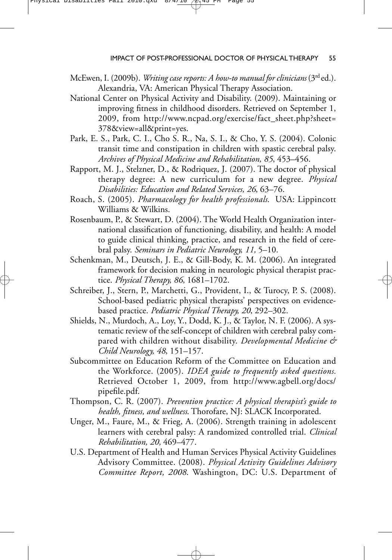- McEwen, I. (2009b). *Writing case reports: A how-to manual for clinicians* (3rd ed.). Alexandria, VA: American Physical Therapy Association.
- National Center on Physical Activity and Disability. (2009). Maintaining or improving fitness in childhood disorders. Retrieved on September 1, 2009, from http://www.ncpad.org/exercise/fact\_sheet.php?sheet= 378&view=all&print=yes.
- Park, E. S., Park, C. I., Cho S. R., Na, S. I., & Cho, Y. S. (2004). Colonic transit time and constipation in children with spastic cerebral palsy. *Archives of Physical Medicine and Rehabilitation, 85*, 453–456.
- Rapport, M. J., Stelzner, D., & Rodriquez, J. (2007). The doctor of physical therapy degree: A new curriculum for a new degree. *Physical Disabilities: Education and Related Services, 26*, 63–76.
- Roach, S. (2005). *Pharmacology for health professionals*. USA: Lippincott Williams & Wilkins.
- Rosenbaum, P., & Stewart, D. (2004). The World Health Organization international classification of functioning, disability, and health: A model to guide clinical thinking, practice, and research in the field of cerebral palsy. *Seminars in Pediatric Neurology, 11,* 5–10.
- Schenkman, M., Deutsch, J. E., & Gill-Body, K. M. (2006). An integrated framework for decision making in neurologic physical therapist practice. *Physical Therapy, 86,* 1681–1702.
- Schreiber, J., Stern, P., Marchetti, G., Provident, I., & Turocy, P. S. (2008). School-based pediatric physical therapists' perspectives on evidencebased practice. *Pediatric Physical Therapy, 20*, 292–302.
- Shields, N., Murdoch, A., Loy, Y., Dodd, K. J., & Taylor, N. F. (2006). A systematic review of the self-concept of children with cerebral palsy compared with children without disability. *Developmental Medicine & Child Neurology, 48*, 151–157.
- Subcommittee on Education Reform of the Committee on Education and the Workforce. (2005). *IDEA guide to frequently asked questions.* Retrieved October 1, 2009, from http://www.agbell.org/docs/ pipefile.pdf.
- Thompson, C. R. (2007). *Prevention practice: A physical therapist's guide to health, fitness, and wellness*. Thorofare, NJ: SLACK Incorporated.
- Unger, M., Faure, M., & Frieg, A. (2006). Strength training in adolescent learners with cerebral palsy: A randomized controlled trial. *Clinical Rehabilitation, 20,* 469–477.
- U.S. Department of Health and Human Services Physical Activity Guidelines Advisory Committee. (2008). *Physical Activity Guidelines Advisory Committee Report, 2008*. Washington, DC: U.S. Department of